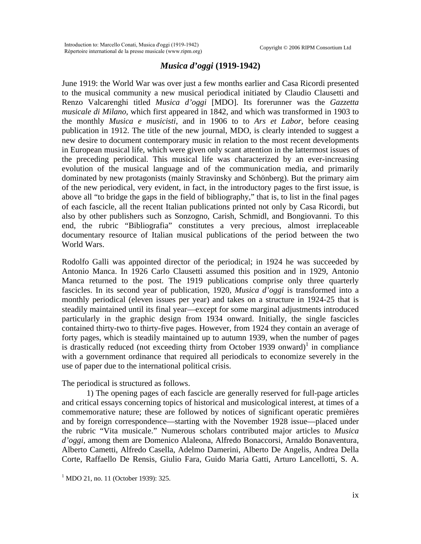## *Musica d'oggi* **(1919-1942)**

June 1919: the World War was over just a few months earlier and Casa Ricordi presented to the musical community a new musical periodical initiated by Claudio Clausetti and Renzo Valcarenghi titled *Musica d'oggi* [MDO]. Its forerunner was the *Gazzetta musicale di Milano*, which first appeared in 1842, and which was transformed in 1903 to the monthly *Musica e musicisti*, and in 1906 to to *Ars et Labor*, before ceasing publication in 1912. The title of the new journal, MDO, is clearly intended to suggest a new desire to document contemporary music in relation to the most recent developments in European musical life, which were given only scant attention in the lattermost issues of the preceding periodical. This musical life was characterized by an ever-increasing evolution of the musical language and of the communication media, and primarily dominated by new protagonists (mainly Stravinsky and Schönberg). But the primary aim of the new periodical, very evident, in fact, in the introductory pages to the first issue, is above all "to bridge the gaps in the field of bibliography," that is, to list in the final pages of each fascicle, all the recent Italian publications printed not only by Casa Ricordi, but also by other publishers such as Sonzogno, Carish, Schmidl, and Bongiovanni. To this end, the rubric "Bibliografia" constitutes a very precious, almost irreplaceable documentary resource of Italian musical publications of the period between the two World Wars.

Rodolfo Galli was appointed director of the periodical; in 1924 he was succeeded by Antonio Manca. In 1926 Carlo Clausetti assumed this position and in 1929, Antonio Manca returned to the post. The 1919 publications comprise only three quarterly fascicles. In its second year of publication, 1920, *Musica d'oggi* is transformed into a monthly periodical (eleven issues per year) and takes on a structure in 1924-25 that is steadily maintained until its final year—except for some marginal adjustments introduced particularly in the graphic design from 1934 onward. Initially, the single fascicles contained thirty-two to thirty-five pages. However, from 1924 they contain an average of forty pages, which is steadily maintained up to autumn 1939, when the number of pages is drastically reduced (not exceeding thirty from October [1](#page-0-0)939 onward)<sup>1</sup> in compliance with a government ordinance that required all periodicals to economize severely in the use of paper due to the international political crisis.

## The periodical is structured as follows.

1) The opening pages of each fascicle are generally reserved for full-page articles and critical essays concerning topics of historical and musicological interest, at times of a commemorative nature; these are followed by notices of significant operatic premières and by foreign correspondence—starting with the November 1928 issue—placed under the rubric "Vita musicale." Numerous scholars contributed major articles to *Musica d'oggi*, among them are Domenico Alaleona, Alfredo Bonaccorsi, Arnaldo Bonaventura, Alberto Cametti, Alfredo Casella, Adelmo Damerini, Alberto De Angelis, Andrea Della Corte, Raffaello De Rensis, Giulio Fara, Guido Maria Gatti, Arturo Lancellotti, S. A.

<span id="page-0-0"></span><sup>&</sup>lt;sup>1</sup> MDO 21, no. 11 (October 1939): 325.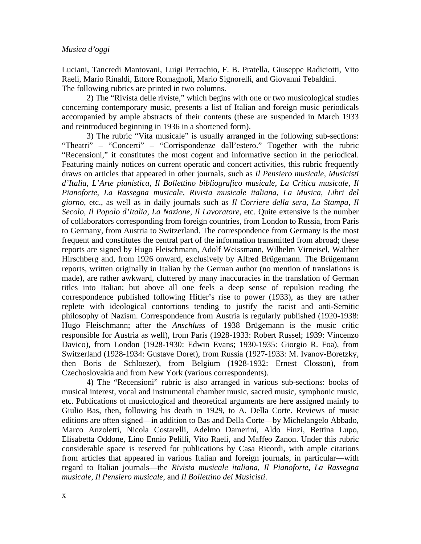Luciani, Tancredi Mantovani, Luigi Perrachio, F. B. Pratella, Giuseppe Radiciotti, Vito Raeli, Mario Rinaldi, Ettore Romagnoli, Mario Signorelli, and Giovanni Tebaldini. The following rubrics are printed in two columns.

 2) The "Rivista delle riviste," which begins with one or two musicological studies concerning contemporary music, presents a list of Italian and foreign music periodicals accompanied by ample abstracts of their contents (these are suspended in March 1933 and reintroduced beginning in 1936 in a shortened form).

 3) The rubric "Vita musicale" is usually arranged in the following sub-sections: "Theatri" – "Concerti" – "Corrispondenze dall'estero." Together with the rubric "Recensioni," it constitutes the most cogent and informative section in the periodical. Featuring mainly notices on current operatic and concert activities, this rubric frequently draws on articles that appeared in other journals, such as *Il Pensiero musicale*, *Musicisti d'Italia*, *L'Arte pianistica*, *Il Bollettino bibliografico musicale*, *La Critica musicale*, *Il Pianoforte*, *La Rassegna musicale*, *Rivista musicale italiana*, *La Musica*, *Libri del giorno*, etc., as well as in daily journals such as *Il Corriere della sera*, *La Stampa*, *Il Secolo*, *Il Popolo d'Italia*, *La Nazione*, *Il Lavoratore*, etc. Quite extensive is the number of collaborators corresponding from foreign countries, from London to Russia, from Paris to Germany, from Austria to Switzerland. The correspondence from Germany is the most frequent and constitutes the central part of the information transmitted from abroad; these reports are signed by Hugo Fleischmann, Adolf Weissmann, Wilhelm Virneisel, Walther Hirschberg and, from 1926 onward, exclusively by Alfred Brügemann. The Brügemann reports, written originally in Italian by the German author (no mention of translations is made), are rather awkward, cluttered by many inaccuracies in the translation of German titles into Italian; but above all one feels a deep sense of repulsion reading the correspondence published following Hitler's rise to power (1933), as they are rather replete with ideological contortions tending to justify the racist and anti-Semitic philosophy of Nazism. Correspondence from Austria is regularly published (1920-1938: Hugo Fleischmann; after the *Anschluss* of 1938 Brügemann is the music critic responsible for Austria as well), from Paris (1928-1933: Robert Russel; 1939: Vincenzo Davico), from London (1928-1930: Edwin Evans; 1930-1935: Giorgio R. Foa), from Switzerland (1928-1934: Gustave Doret), from Russia (1927-1933: M. Ivanov-Boretzky, then Boris de Schloezer), from Belgium (1928-1932: Ernest Closson), from Czechoslovakia and from New York (various correspondents).

 4) The "Recensioni" rubric is also arranged in various sub-sections: books of musical interest, vocal and instrumental chamber music, sacred music, symphonic music, etc. Publications of musicological and theoretical arguments are here assigned mainly to Giulio Bas, then, following his death in 1929, to A. Della Corte. Reviews of music editions are often signed—in addition to Bas and Della Corte—by Michelangelo Abbado, Marco Anzoletti, Nicola Costarelli, Adelmo Damerini, Aldo Finzi, Bettina Lupo, Elisabetta Oddone, Lino Ennio Pelilli, Vito Raeli, and Maffeo Zanon. Under this rubric considerable space is reserved for publications by Casa Ricordi, with ample citations from articles that appeared in various Italian and foreign journals, in particular—with regard to Italian journals—the *Rivista musicale italiana*, *Il Pianoforte*, *La Rassegna musicale*, *Il Pensiero musicale*, and *Il Bollettino dei Musicisti*.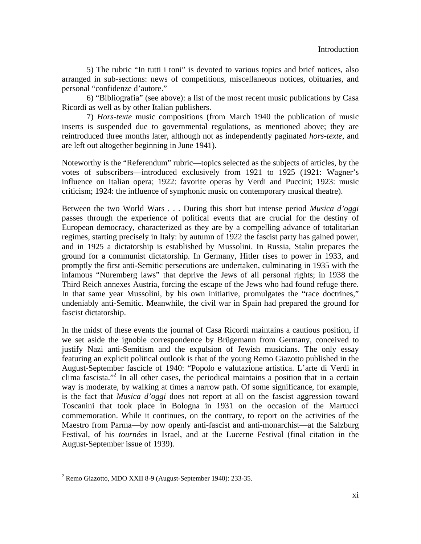5) The rubric "In tutti i toni" is devoted to various topics and brief notices, also arranged in sub-sections: news of competitions, miscellaneous notices, obituaries, and personal "confidenze d'autore."

 6) "Bibliografia" (see above): a list of the most recent music publications by Casa Ricordi as well as by other Italian publishers.

 7) *Hors-texte* music compositions (from March 1940 the publication of music inserts is suspended due to governmental regulations, as mentioned above; they are reintroduced three months later, although not as independently paginated *hors-texte*, and are left out altogether beginning in June 1941).

Noteworthy is the "Referendum" rubric—topics selected as the subjects of articles, by the votes of subscribers—introduced exclusively from 1921 to 1925 (1921: Wagner's influence on Italian opera; 1922: favorite operas by Verdi and Puccini; 1923: music criticism; 1924: the influence of symphonic music on contemporary musical theatre).

Between the two World Wars . . . During this short but intense period *Musica d'oggi* passes through the experience of political events that are crucial for the destiny of European democracy, characterized as they are by a compelling advance of totalitarian regimes, starting precisely in Italy: by autumn of 1922 the fascist party has gained power, and in 1925 a dictatorship is established by Mussolini. In Russia, Stalin prepares the ground for a communist dictatorship. In Germany, Hitler rises to power in 1933, and promptly the first anti-Semitic persecutions are undertaken, culminating in 1935 with the infamous "Nuremberg laws" that deprive the Jews of all personal rights; in 1938 the Third Reich annexes Austria, forcing the escape of the Jews who had found refuge there. In that same year Mussolini, by his own initiative, promulgates the "race doctrines," undeniably anti-Semitic. Meanwhile, the civil war in Spain had prepared the ground for fascist dictatorship.

In the midst of these events the journal of Casa Ricordi maintains a cautious position, if we set aside the ignoble correspondence by Brügemann from Germany, conceived to justify Nazi anti-Semitism and the expulsion of Jewish musicians. The only essay featuring an explicit political outlook is that of the young Remo Giazotto published in the August-September fascicle of 1940: "Popolo e valutazione artistica. L'arte di Verdi in clima fascista."[2](#page-2-0) In all other cases, the periodical maintains a position that in a certain way is moderate, by walking at times a narrow path. Of some significance, for example, is the fact that *Musica d'oggi* does not report at all on the fascist aggression toward Toscanini that took place in Bologna in 1931 on the occasion of the Martucci commemoration. While it continues, on the contrary, to report on the activities of the Maestro from Parma—by now openly anti-fascist and anti-monarchist—at the Salzburg Festival, of his *tournées* in Israel, and at the Lucerne Festival (final citation in the August-September issue of 1939).

<span id="page-2-0"></span> $2^2$  Remo Giazotto, MDO XXII 8-9 (August-September 1940): 233-35.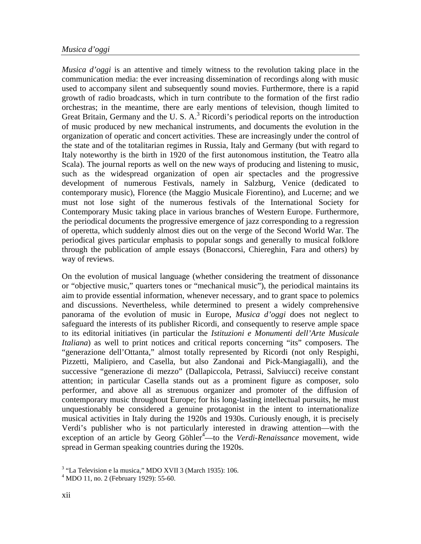## *Musica d'oggi*

*Musica d'oggi* is an attentive and timely witness to the revolution taking place in the communication media: the ever increasing dissemination of recordings along with music used to accompany silent and subsequently sound movies. Furthermore, there is a rapid growth of radio broadcasts, which in turn contribute to the formation of the first radio orchestras; in the meantime, there are early mentions of television, though limited to GreatBritain, Germany and the U.S.  $A$ .<sup>3</sup> Ricordi's periodical reports on the introduction of music produced by new mechanical instruments, and documents the evolution in the organization of operatic and concert activities. These are increasingly under the control of the state and of the totalitarian regimes in Russia, Italy and Germany (but with regard to Italy noteworthy is the birth in 1920 of the first autonomous institution, the Teatro alla Scala). The journal reports as well on the new ways of producing and listening to music, such as the widespread organization of open air spectacles and the progressive development of numerous Festivals, namely in Salzburg, Venice (dedicated to contemporary music), Florence (the Maggio Musicale Fiorentino), and Lucerne; and we must not lose sight of the numerous festivals of the International Society for Contemporary Music taking place in various branches of Western Europe. Furthermore, the periodical documents the progressive emergence of jazz corresponding to a regression of operetta, which suddenly almost dies out on the verge of the Second World War. The periodical gives particular emphasis to popular songs and generally to musical folklore through the publication of ample essays (Bonaccorsi, Chiereghin, Fara and others) by way of reviews.

On the evolution of musical language (whether considering the treatment of dissonance or "objective music," quarters tones or "mechanical music"), the periodical maintains its aim to provide essential information, whenever necessary, and to grant space to polemics and discussions. Nevertheless, while determined to present a widely comprehensive panorama of the evolution of music in Europe, *Musica d'oggi* does not neglect to safeguard the interests of its publisher Ricordi, and consequently to reserve ample space to its editorial initiatives (in particular the *Istituzioni e Monumenti dell'Arte Musicale Italiana*) as well to print notices and critical reports concerning "its" composers. The "generazione dell'Ottanta," almost totally represented by Ricordi (not only Respighi, Pizzetti, Malipiero, and Casella, but also Zandonai and Pick-Mangiagalli), and the successive "generazione di mezzo" (Dallapiccola, Petrassi, Salviucci) receive constant attention; in particular Casella stands out as a prominent figure as composer, solo performer, and above all as strenuous organizer and promoter of the diffusion of contemporary music throughout Europe; for his long-lasting intellectual pursuits, he must unquestionably be considered a genuine protagonist in the intent to internationalize musical activities in Italy during the 1920s and 1930s. Curiously enough, it is precisely Verdi's publisher who is not particularly interested in drawing attention—with the exception of an article by Georg Göhler<sup>4</sup>—to the *Verdi-Renaissance* movement, wide spread in German speaking countries during the 1920s.

<span id="page-3-0"></span><sup>&</sup>lt;sup>3</sup> "La Television e la musica," MDO XVII 3 (March 1935): 106.

<span id="page-3-1"></span><sup>4</sup> MDO 11, no. 2 (February 1929): 55-60.